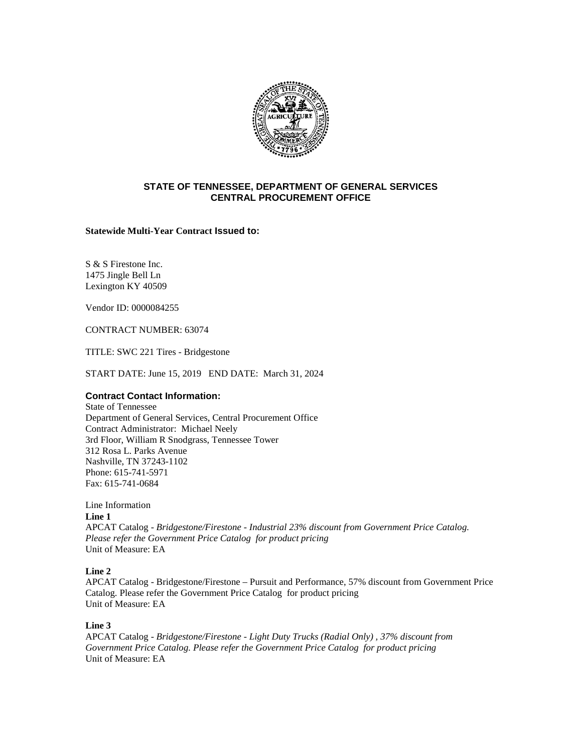

## **STATE OF TENNESSEE, DEPARTMENT OF GENERAL SERVICES CENTRAL PROCUREMENT OFFICE**

### **Statewide Multi-Year Contract Issued to:**

S & S Firestone Inc. 1475 Jingle Bell Ln Lexington KY 40509

Vendor ID: 0000084255

CONTRACT NUMBER: 63074

TITLE: SWC 221 Tires - Bridgestone

START DATE: June 15, 2019 END DATE: March 31, 2024

# **Contract Contact Information:**

State of Tennessee Department of General Services, Central Procurement Office Contract Administrator: Michael Neely 3rd Floor, William R Snodgrass, Tennessee Tower 312 Rosa L. Parks Avenue Nashville, TN 37243-1102 Phone: 615-741-5971 Fax: 615-741-0684

Line Information

**Line 1** 

APCAT Catalog - *Bridgestone/Firestone - Industrial 23% discount from Government Price Catalog. Please refer the Government Price Catalog for product pricing* Unit of Measure: EA

# **Line 2**

APCAT Catalog - Bridgestone/Firestone – Pursuit and Performance, 57% discount from Government Price Catalog. Please refer the Government Price Catalog for product pricing Unit of Measure: EA

# **Line 3**

APCAT Catalog - *Bridgestone/Firestone - Light Duty Trucks (Radial Only) , 37% discount from Government Price Catalog. Please refer the Government Price Catalog for product pricing* Unit of Measure: EA